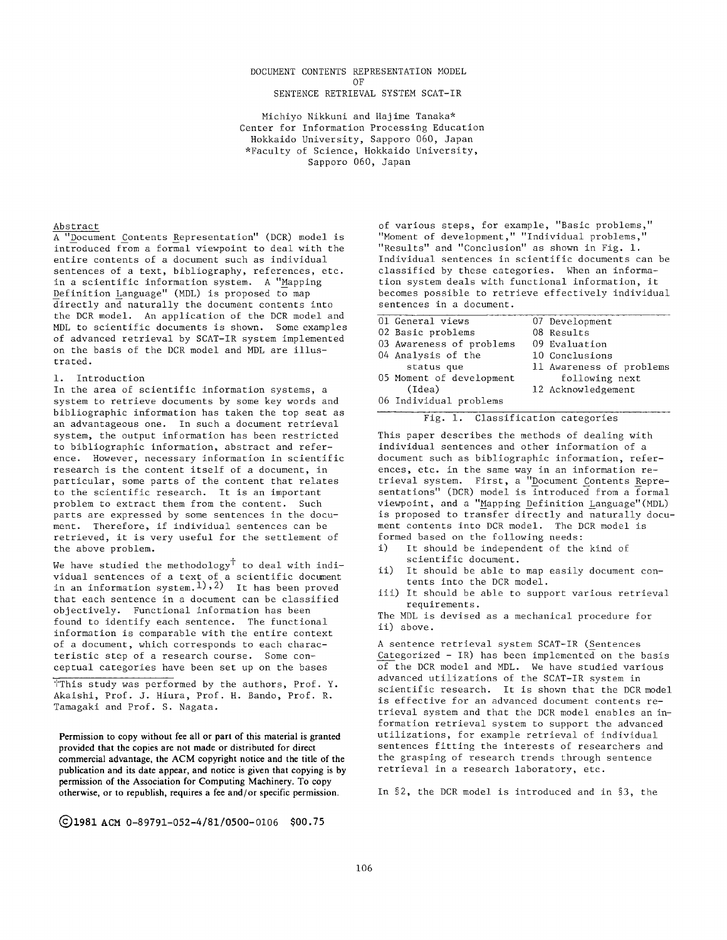#### DOCUMENT CONTENTS REPRESENTATION MODEL

OF

# SENTENCE RETRIEVAL SYSTEM SCAT-IR

Michiyo Nikkuni and Hajime Tanaka\* Center for Information Processing Education Hokkaido University, Sapporo 060, Japan \*Faculty of Science, Hokkaido University, Sapporo 060, Japan

## Abstract

A "Document Contents Representation" (DCR) model is introduced from a formal viewpoint to deal with the entire contents of a document such as individual sentences of a text, bibliography, references, etc. in a scientific information system. A "Mapping Definition Language" (MDL) is proposed to map directly and naturally the document contents into the DCR model. An application of the DCR model and MDL to scientific documents is shown. Some examples of advanced retrieval by SCAT-IR system implemented on the basis of the DCR model and MDL are illustrated.

## 1. Introduction

In the area of scientific information systems, a system to retrieve documents by some key words and bibliographic information has taken the top seat as an advantageous one. In such a document retrieval system, the output information has been restricted to bibliographic information, abstract and reference. However, necessary information in scientific research is the content itself of a document, in particular, some parts of the content that relates to the scientific research. It is an important problem to extract them from the content. Such parts are expressed by some sentences in the document. Therefore, if individual sentences can be retrieved, it is very useful for the settlement of the above problem.

We have studied the methodology  $\ddot{\phantom{a}}$  to deal with individual sentences of a text of a scientific document in an information system.<sup>1</sup>), 2) It has been proved that each sentence in a document can be classified objectively. Functional information has been found to identify each sentence. The functional information is comparable with the entire context of a document, which corresponds to each characteristic step of a research course. Some conceptual categories have been set up on the bases

This study was performed by the authors, Prof. Y. Akaishi, Prof. J. Hiura, Prof. H. Bando, Prof. R. Tamagaki and Prof. S. Nagata.

**Permission to copy without fee all or part of this material is granted provided that the copies are not made or distributed for direct commercial advantage, the ACM copyright notice and the title of the publication and its date appear, and notice is given that copying is by permission of the Association for Computing Machinery. To copy otherwise, or to republish, requires a fee and/or specific permission.** 

of various steps, for example, "Basic problems," "Moment of development," "Individual problems, "Results" and "Conclusion" as shown in Fig. 1. Individual sentences in scientific documents can be classified by these categories. When an information system deals with functional information, it becomes possible to retrieve effectively individual sentences in a document.

| 01 General views         | 07 Development           |
|--------------------------|--------------------------|
| 02 Basic problems        | 08 Results               |
| 03 Awareness of problems | 09 Evaluation            |
| 04 Analysis of the       | 10 Conclusions           |
| status que               | 11 Awareness of problems |
| 05 Moment of development | following next           |
| (Idea)                   | 12 Acknowledgement       |
| 06 Individual problems   |                          |
|                          |                          |

# Fig. i. Classification categories

This paper describes the methods of dealing with individual sentences and other information of a document such as bibliographic information, references, etc. in the same way in an information retrieval system. First, a "Document Contents Representations" (DCR) model is introduced from a formal viewpoint, and a "M\_apping Definition Language"(MDL) is proposed to transfer directly and naturally document contents into DCR model. The DCR model is formed based on the following needs:

- i) It should be independent of the kind of scientific document.
- ii) It should be able to map easily document contents into the DCR model.
- iii) It should be able to support various retrieval requirements.

The MDL is devised as a mechanical procedure for ii) above.

A sentence retrieval system SCAT-IR (Sentences Categorized - IR) has been implemented on the basis of the DCR model and MDL. We have studied various advanced utilizations of the SCAT-IR system in scientific research. It is shown that the DCR model is effective for an advanced document contents retrieval system and that the DCR model enables an information retrieval system to support the advanced utilizations, for example retrieval of individual sentences fitting the interests of researchers and the grasping of research trends through sentence retrieval in a research laboratory, etc.

In §2, the DCR model is introduced and in §3, the

Q1981 ACM 0-89791-052-4/81/0500-0106 \$00.75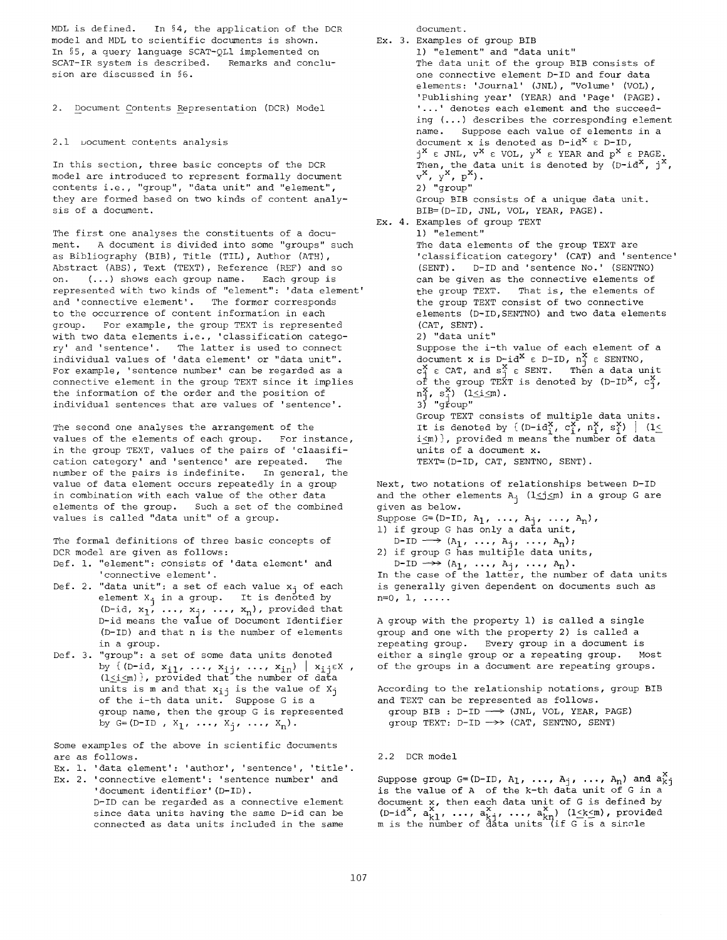MDL is defined. In §4, the application of the DCR model and MDL to scientific documents is shown. In §5, a query language SCAT-QLI implemented on SCAT-IR system is described. Remarks and conclusion are discussed in \$6.

2. Document Contents Representation (DCR) Model

# 2.1 uocument contents analysis

In this section, three basic concepts of the DCR model are introduced to represent formally document contents i.e., "group", "data unit" and "element", they are formed based on two kinds of content analysis of a document.

The first one analyses the constituents of a document. A document is divided into some "groups" such as Bibliography (BIB), Title (TIL), Author (ATH), Abstract (ABS), Text (TEXT), Reference (REF) and so on. (...) shows each group name. Each group is represented with two kinds of "element": 'data element' and 'connective element'. The former corresponds to the occurrence of content information in each group. For example, the group TEXT is represented with two data elements i.e., 'classification category' and 'sentence'. The latter is used to connect individual values of 'data element' or "data unit". For example, 'sentence number' can be regarded as a connective element in the group TEXT since it implies the information of the order and the position of individual sentences that are values of 'sentence'

The second one analyses the arrangement of the values of the elements of each group. For instance, in the group TEXT, values of the pairs of 'claasification category' and 'sentence' are repeated. The number of the pairs is indefinite. In general, the value of data element occurs repeatedly in a group in combination with each value of the other data elements of the group. Such a set of the combined values is called "data unit" of a group.

The formal definitions of three basic concepts of DCR model are given as follows:

- Def. i. "element": consists of 'data element' and 'connective element'.
- Def. 2. "data unit": a set of each value  $x_j$  of each element  $X_j$  in a group. It is denoted by (D-id,  $x_1$ , ...,  $x_1$ , ...,  $x_n$ ), provided that D-id means the value of Document Identifier (D-ID) and that n is the number of elements in a group.
- Def. 3. "group": a set of some data units denoted by  ${\rm i}\;$   ${\rm (D-1d,~}$   ${\rm x}_{\rm i\,1}$ ,  $\; \ldots$ ,  ${\rm x}_{\rm i\,\tau}$ ,  $\; \ldots$ ,  ${\rm x}_{\rm in}$ ) |  ${\rm x}_{\rm i\,\tau}$   ${\rm \varepsilon}$ x , (l<i<m)}, provided that the number of data units is m and that  $x_{i,j}$  is the value of  $X_{j}$ of the i-th data unit. Suppose G is a group name, then the group G is represented by G=(D-ID,  $X_1, \ldots, X_n, \ldots, X_n$ ).

Some examples of the above in scientific documents are as follows.

Ex. I. 'data element': 'author', 'sentence', 'title'.

Ex. 2. 'connective element': 'sentence number' and 'document identifier' (D-ID).

> D-ID can be regarded as a connective element since data units having the same D-id can be connected as data units included in the same

document.

```
EX. 3. 
Examples of group BIB 
Ex. 4. 
Examples of group TEXT 
       i) "element" and "data unit" 
       The data unit of the group BIB consists of 
       one connective element D-ID and four data 
       elements: 'Journal' (JNL), "Volume' (VOL), 
       'Publishing year' (YEAR) and 'Page' (PAGE). 
       '...' denotes each element and the succeed-
       ing (...) describes the corresponding element 
       name. Suppose each value of elements in a 
       document x is denoted as D-id^X \in D-ID,
       j^X \epsilon JNL, v^X \epsilon VOL, y^X \epsilon YEAR and p^X \epsilon PAGE.
        Then, the data unit is denoted by (D-id^, j^,<br>v<sup>x</sup>, v<sup>x</sup>, p<sup>x</sup>).
        2) "group" 
       Group BIB consists of a unique data unit. 
       BIB=(D-ID, JNL, VOL, YEAR, PAGE). 
       i) "element" 
       The data elements of the group TEXT are 
       'classification category' (CAT) and 'sentence' 
       (SENT). D-ID and 'sentence No.' (SENTNO) 
       can be given as the connective elements of 
       the group TEXT. That is, the elements of 
       the group TEXT consist of two connective 
       elements (D-ID,SENTNO) and two data elements 
       (CAT, SENT). 
       2) "data unit" 
       Suppose the i-th value of each element of a 
        document x is D-id^ ε D-ID, n; ε SENTNO,
        c_1^{\mathfrak{c}} \epsilon CAT, and s_1^{\mathfrak{c}} \epsilon SENT. Then a data unit
        of the group TEXT is denoted by (D-ID^, c\,,
        n_1^X, s_i^X) (lsism).
        3) "group"
       Group TEXT consists of multiple data units. 
        It is denoted by { (D-id^;, c^;, n^;, s^;) | (l\lei<m)}, provided m means the number of data 
       units of a document x. 
       TEXT=(D-ID, CAT, SENTNO, SENT).
```
Next, two notations of relationships between D-ID and the other elements  $A_j$  ( $l \leq j \leq m$ ) in a group G are given as below.

Suppose G=(D-ID,  $A_1$ , ...,  $A_j$ , ...,  $A_n$ ), i) if group G has only a data unit,

 $D\text{-}ID \longrightarrow (A_1, \ldots, A_i, \ldots, A_n);$ 2) if group G has multiple data units, D-ID  $\rightarrow$   $(A_1, \ldots, A_i, \ldots, A_n)$ .

In the case of the latter, the number of data units is generally given dependent on documents such as n=0, i, .....

A group with the property i) is called a single group and one with the property 2) is called a repeating group. Every group in a document is either a single group or a repeating group. Most of the groups in a document are repeating groups.

According to the relationship notations, group BIB and TEXT can be represented as follows. group BIB :  $D-ID \longrightarrow$  (JNL, VOL, YEAR, PAGE) group TEXT:  $D-ID \longrightarrow (CAT, SEMTNO, SEMT)$ 

2.2 DCR model

Suppose group G=(D-ID,  $A_1$ , ...,  $A_j$ , ...,  $A_n$ ) and  $a_{k,j}$ is the value of A of the k-th data unit of G in a document x, then each data unit of G is defined by  $(D-i d^X, a_{k+1}^X, \ldots, a_{k+i}^X, \ldots, a_{kn}^X)$  (l<k<m), provided  $m$  is the number of dāta units (if G is a sin $\sigma$ le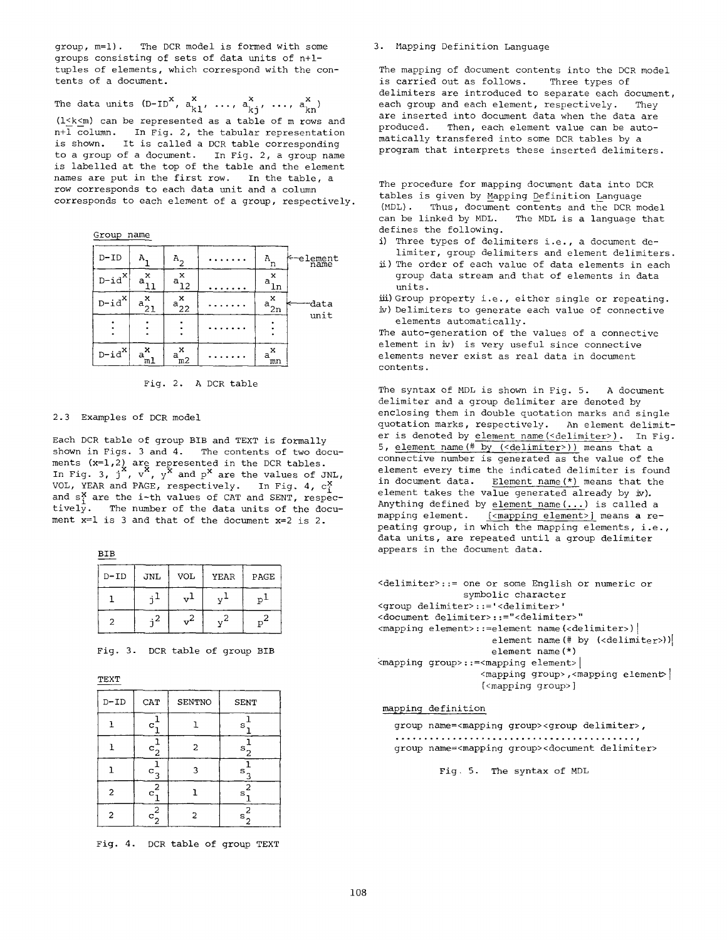group, m=l). The DCR model is formed with some groups consisting of sets of data units of n+ltuples of elements, which correspond with the contents of a document.

The data units (D-ID<sup>o</sup>,  $a_{k1}$ , ...,  $a_{kj}$ , ...,  $a_{kn}$ <sup>o</sup>)

(l<k<m) can be represented as a table of m rows and n+l column. In Fig. 2, the tabular representation is shown. It is called a DCR table corresponding to a group of a document. In Fig. 2, a group name is labelled at the top of the table and the element names are put in the first row. In the table, a row corresponds to each data unit and a column corresponds to each element of a group, respectively.

Group name

| D-ID                          |               |               |  | n             | ←—element<br>name |  |  |
|-------------------------------|---------------|---------------|--|---------------|-------------------|--|--|
| $\texttt{D-id}^{\mathbf{X}}$  | x<br>a        | x<br>a<br>12  |  | x<br>а<br>Τu  |                   |  |  |
| $\texttt{D-id}^{\mathbf{X}} $ | x<br>$a_{21}$ | x<br>$a_{22}$ |  | x<br>$a_{2n}$ | data              |  |  |
|                               |               |               |  |               | unit              |  |  |
| $\text{D-}id^x\text{I}$       | $a^x$<br>ml   | x<br>a<br>m2  |  | x<br>a<br>mn  |                   |  |  |



2.3 Examples of DCR model

Each DCR table of group BIB and TEXT is formally shown in Figs. 3 and 4. The contents of two documents (x=1,2) are represented in the DCR tables.<br>In Fig. 3, j X, v X, y and p are the values of JNL, VOL, YEAR and PAGE, respectively. In Fig. 4,  $c_i^X$ and  $s<sup>x</sup>$  are the i-th values of CAT and SENT, respectively. The number of the data units of the document  $x=1$  is 3 and that of the document  $x=2$  is 2.

BIB

| $D - ID$ | JNL | <b>VOL</b> | YEAR | PAGE  |
|----------|-----|------------|------|-------|
|          |     |            |      |       |
|          | 4   |            |      | $p^2$ |

Fig. 3. DCR table of group BIB

TEXT

| D-ID           | CAT                                   | SENTNO | <b>SENT</b>    |
|----------------|---------------------------------------|--------|----------------|
|                | c                                     |        | s              |
|                | $\mathbf{c}_2$                        | 2      | $\mathbf{s}_2$ |
|                | с                                     |        | s              |
| 2              | 2<br>C                                |        | 2<br>s         |
| $\overline{c}$ | $\overline{c}$<br>${}^{\rm c} {}_{2}$ | 2      | 2<br>S         |

Fig. 4. DCR table of group TEXT

## 3. Mapping Definition Language

The mapping of document contents into the DCR model is carried out as follows. Three types of delimiters are introduced to separate each document, each group and each element, respectively. They are inserted into document data when the data are produced. Then, each element value can be automatically transfered into some DCR tables by a program that interprets these inserted delimiters.

The procedure for mapping document data into DCR tables is given by Mapping Definition Language (MDL). Thus, document contents and the DCR model can be linked by MDL. The MDL is a language that defines the following.

- i) Three types of delimiters i.e., a document delimiter, group delimiters and element delimiters.
- i) The order of each value of data elements in each group data stream and that of elements in data units.
- iii) Group property i.e., either single or repeating.
- iv) Delimiters to generate each value of connective elements automatically.

The auto-generation of the values of a connective element in iv) is very useful since connective elements never exist as real data in document contents.

The syntax of MDL is shown in Fig. 5. A document delimiter and a group delimiter are denoted by enclosing them in double quotation marks and single quotation marks, respectively. An element delimiter is denoted by element name(<delimiter>). In Fig. 5, element name(# by (<delimiter>)) means that a connective number is generated as the value of the element every time the indicated delimiter is found in document data. Element name (\*) means that the element takes the value generated already by  $\dot{w}$ ). Anything defined by element name(...) is called a mapping element. [<mapping element>] means a repeating group, in which the mapping elements, i.e., data units, are repeated until a group delimiter appears in the document data.

```
<delimiter>::= one or some English or numeric or 
                symbolic character 
<group delimiter>::='<delimiter>' 
<document delimiter>::="<delimiter>" 
<mapping element>::=element name(<delimiter>) |
                     element name (\# \text{ by } (\text{cdelimiter}))element name(*) 
<mapping group>::=<mapping element> I 
                   <mapping group>, <mapping element>
                   [<mapping group>]
```
## mapping definition

```
group name=<mapping group><group delimiter>, 
group name=<mapping group><document delimiter>
```
Fig. 5. The syntax of MDL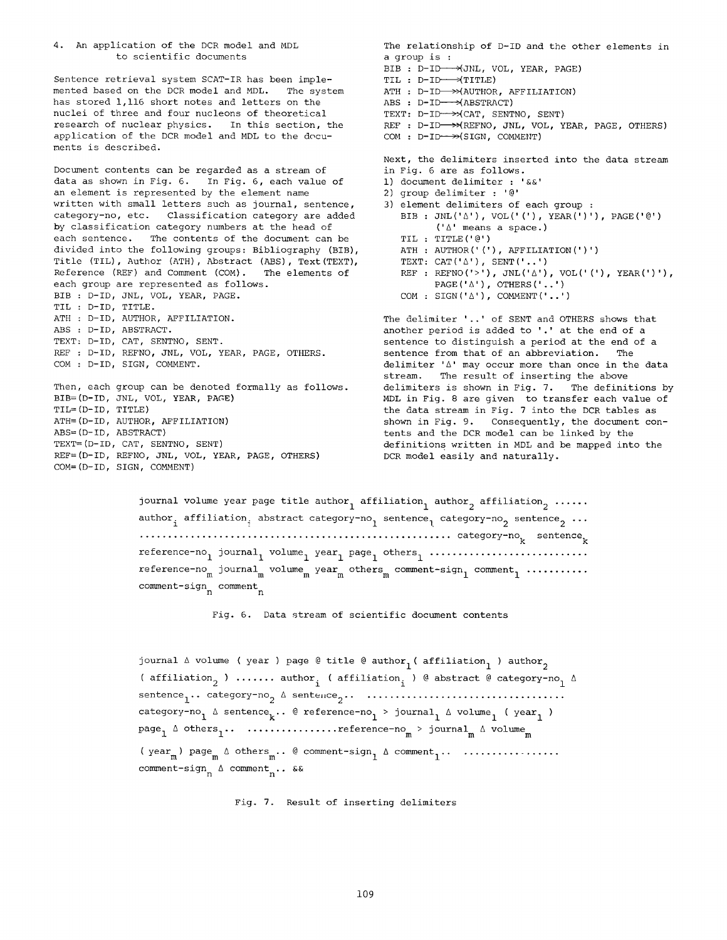4. An application of the DCR model and MDL to scientific documents

Sentence retrieval system SCAT-IR has been implemented based on the DCR model and MDL. The system has stored 1,116 short notes and letters on the nuclei of three and four nucleons of theoretical research of nuclear physics. In this section, the application of the DCR model and MDL to the documents is described.

Document contents can be regarded as a stream of data as shown in Fig. 6. In Fig. 6, each value of an element is represented by the element name written with small letters such as journal, sentence, category-no, etc. Classification category are added by classification category numbers at the head of each sentence. The contents of the document can be divided into the following groups: Bibliography (BIB), Title (TIL), Author (ATH), Abstract (ABS), Text(TEXT), Reference (REF) and Comment (COM). The elements of each group are represented as follows. BIB : D-ID, JNL, VOL, YEAR, PAGE. TIL : D-ID, TITLE. ATH : D-ID, AUTHOR, AFFILIATION. ABS : D-ID, ABSTRACT. TEXT: D-ID, CAT, SENTNO, SENT. REF : D-ID, REFNO, JNL, VOL, YEAR, PAGE, OTHERS. COM : D-ID, SIGN, COMMENT. Then, each group can be denoted formally as follows.

BIB=(D-ID, JNL, VOL, YEAR, PAGE) TIL=(D-ID, TITLE) ATH=(D-ID, AUTHOR, AFFILIATION) ABS=(D-ID, ABSTRACT) TEXT=(D-ID, CAT, SENTNO, SENT) REF=(D-ID, REFNO, JNL, VOL, YEAR, PAGE, OTHERS) COM=(D-ID, SIGN, COMMENT)

The relationship of D-ID and the other elements in a group is : BIB : D-ID-->(JNL, VOL, YEAR, PAGE)  $TL: D-ID \longrightarrow TITLE$ ) ATH **:** D-ID >>(AUTHOR, AFFILIATION) ABS : D-ID<del>--></del>(ABSTRACT) TEXT: D-ID-->>(CAT, SENTNO, SENT) REF : D-ID—→>(REFNO, JNL, VOL, YEAR, PAGE, OTHERS) COM : D-ID-->>(SIGN, COMMENT) Next, the delimiters inserted into the data stream in Fig. 6 are as follows. i) document delimiter : '&&' 2) group delimiter : '@' 3) element delimiters of each group : BIB : JNL('A'), VOL(' ('), YEAR(')'), PAGE('@') ('A' means a space.) TIL : TITLE('@') ATH : AUTHOR(' ('), AFFILIATION(')') TEXT: CAT $(^{\dagger}\triangle^{\dagger})$ , SENT $(^{\dagger}\ldots^{\dagger})$ REF : REFNO('>'), JNL(' $\Delta'$ ), VOL('('), YEAR(')'),  $\texttt{PAGE}(\texttt{'}\mathbin{\vartriangle}\texttt{'})$  ,  $\texttt{OTHERS}(\texttt{'}\dots\texttt{'})$  $\texttt{COM : SIGN('A'); COMMENT('..')}$ The delimiter '..' of SENT and OTHERS shows that another period is added to '.' at the end of a

sentence to distinguish a period at the end of a sentence from that of an abbreviation. The delimiter  $'\Delta'$  may occur more than once in the data stream. The result of inserting the above delimiters is shown in Fig. 7. The definitions by MDL in Fig. 8 are given to transfer each value of the data stream in Fig. 7 into the DCR tables as shown in Fig. 9. Consequently, the document contents and the DCR model can be linked by the definitions written in MDL and be mapped into the DCR model easily and naturally.

journal volume year page title author<sub>1</sub> affiliation<sub>1</sub> author<sub>2</sub> affiliation<sub>2</sub> ......  $\text{author}_i$  affiliation<sub>i</sub> abstract category-no<sub>1</sub> sentence<sub>1</sub> category-no<sub>2</sub> sentence<sub>2</sub> ... ....................................................... category-no k sentence k reference-no I journal I volume I year I page I others I ............................ reference-no<sub>m</sub> journal<sub>m</sub> volume<sub>m</sub> year<sub>m</sub> others<sub>m</sub> comment-sign<sub>1</sub> comment<sub>1</sub> ..........  $comment-sign content<sub>n</sub>$ 

Fig. 6. Data stream of scientific document contents

journal  $\Delta$  volume ( year ) page @ title @ author<sub>1</sub> ( affiliation<sub>1</sub> ) author<sub>2</sub> ( affiliation<sub>2</sub> ) ....... author<sub>1</sub> ( affiliation<sub>1</sub> ) @ abstract @ category-no<sub>1</sub>  $\Delta$  $\texttt{sentence}_1 \ldots \texttt{category-no}_2 \triangleq \texttt{sentence}_2 \ldots \ldots \ldots \ldots \ldots \ldots \ldots \ldots \ldots$ category-no<sub>1</sub>  $\Delta$  sentence<sub>k</sub>.. @ reference-no<sub>1</sub> > journal<sub>1</sub>  $\Delta$  volume<sub>1</sub> ( year<sub>1</sub>) page<sub>l</sub> A others<sub>l</sub>.. ................reference-no<sub>m</sub> > journal<sub>m</sub> A volume<sub>m</sub> (  $year_{m}$ ) page<sub>m</sub>  $\triangle$  others<sub>m</sub>.. @ comment-sign<sub>1</sub>  $\triangle$  comment<sub>1</sub>... ................. comment-sign  $_{\textrm{n}}$   $_{\textrm{A}}$  comment  $_{\textrm{n}}$ .. &&

Fig. 7. Result of inserting delimiters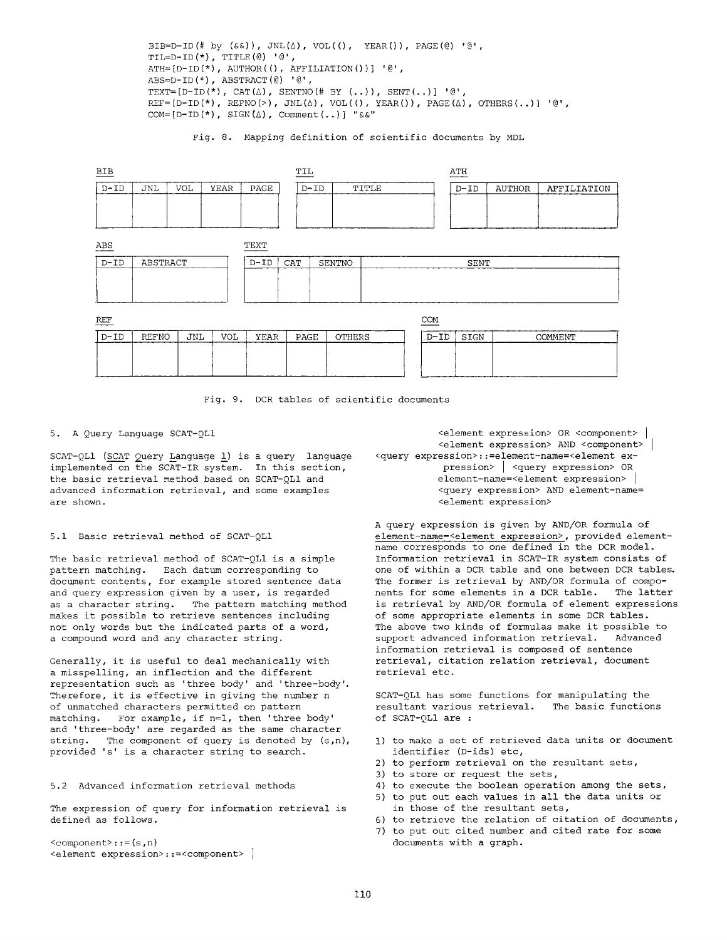BIB=D-ID(# by  $(\&\&))$ , JNL $(\triangle)$ , VOL $(()$ , YEAR $())$ , PAGE $(\&)$  ' $\&$ ', TIL=D-ID $(*)$ , TITLE $(\mathcal{C})$  ' $\mathcal{C}$ ',  $ATH=[D-ID(*)$ ,  $AUTHOR(()$ ,  $AFFILIATION())$  ' $@'$ , ABS=D-ID $(*)$ , ABSTRACT $(\text{\textcircled{\small{e}}})$  ' $\text{\textcircled{\small{e}}}'$ , TEXT= $[D-ID (*)$ , CAT $(\triangle)$ , SENTNO $(\# \; BY \; (.))$ , SENT $(..)$ ] ' $@'$ ,  $REF=[D-ID(*)$ ,  $REFO(>)$ ,  $JNL(\Delta)$ ,  $VOL(())$ ,  $YEAR())$ ,  $PAGE(\Delta)$ ,  $OTHERS(...)$  '@',  $COM=[D-ID(*)$ ,  $SIGN(\Delta)$ ,  $Comment(..)]$  " $\&&$ "

Fig. 8. Mapping definition of scientific documents by MDL

| BIB        |              |            |            | TIL    |                 |                |  | ATH    |             |               |             |
|------------|--------------|------------|------------|--------|-----------------|----------------|--|--------|-------------|---------------|-------------|
| $D-TD$     | JNL          | <b>VOL</b> | YEAR       | PAGE   | TITLE<br>$D-TD$ |                |  |        | $D-TD$      | <b>AUTHOR</b> | AFFILIATION |
|            |              |            |            |        |                 |                |  |        |             |               |             |
|            |              |            |            |        |                 |                |  |        |             |               |             |
| ABS        |              |            |            | TEXT   |                 |                |  |        |             |               |             |
| $D-TD$     | ABSTRACT     |            |            | $D-TD$ | CAT             | SENT<br>SENTNO |  |        |             |               |             |
|            |              |            |            |        |                 |                |  |        |             |               |             |
|            |              |            |            |        |                 |                |  |        |             |               |             |
| COM<br>REF |              |            |            |        |                 |                |  |        |             |               |             |
| $D - ID$   | <b>REFNO</b> | <b>JNL</b> | <b>VOL</b> | YEAR   | PAGE            | <b>OTHERS</b>  |  | $D-TD$ | <b>SIGN</b> |               | COMMENT     |
|            |              |            |            |        |                 |                |  |        |             |               |             |
|            |              |            |            |        |                 |                |  |        |             |               |             |

Fig. 9. DCR tables of scientific documents

5. A Query Language SCAT-QL1

 $SCAT-QL1$  (SCAT Query Language 1) is a query language implemented on the SCAT-IR system. In this section, the basic retrieval method based on SCAT-OLI and advanced information retrieval, and some examples are shown.

5.1 Basic retrieval method of SCAT-QL1

The basic retrieval method of SCAT-OL1 is a simple pattern matching. Each datum corresponding to document contents, for example stored sentence data and query expression given by a user, is regarded as a character string. The pattern matching method makes it possible to retrieve sentences including not only words but the indicated parts of a word, a compound word and any character string.

Generally, it is useful to deal mechanically with a misspelling, an inflection and the different representation such as 'three body' and 'three-body'. Therefore, it is effective in giving the number n of unmatched characters permitted on pattern matching. For example, if n=l, then 'three body' and 'three-body' are regarded as the same character string. The component of query is denoted by (s,n), provided 's' is a character string to search.

5.2 Advanced information retrieval methods

The expression of query for information retrieval is defined as follows.

<component>::=(s,n) <element expression>::=<component> I

<element expression> OR <component> i <element expression> AND <component> i <query expression>::=element-name=<element expression> | <query expression> OR element-name=<element expression> | <query expression> AND element-name= <element expression>

A query expression is given by AND/OR formula of element-name=<element expression>, provided elementname corresponds to one defined in the DCR model. Information retrieval in SCAT-IR system consists of one of within a DCR table and one between DCR tables. The former is retrieval by AND/OR formula of components for some elements in a DCR table. The latter is retrieval by AND/OR formula of element expressions of some appropriate elements in some DCR tables. The above two kinds of formulas make it possible to support advanced information retrieval. Advanced information retrieval is composed of sentence retrieval, citation relation retrieval, document retrieval etc.

SCAT-OLI has some functions for manipulating the resultant various retrieval. The basic functions of SCAT-QLI are :

- !) to make a set of retrieved data units or document identifier (D-ids) etc,
- 2) to perform retrieval on the resultant sets,
- 3) to store or request the sets,
- 4) to execute the boolean operation among the sets, 5) to put out each values in all the data units or
- in those of the resultant sets,
- 6) to retrieve the relation of citation of documents,
- 7) to put out cited number and cited rate for some documents with a graph.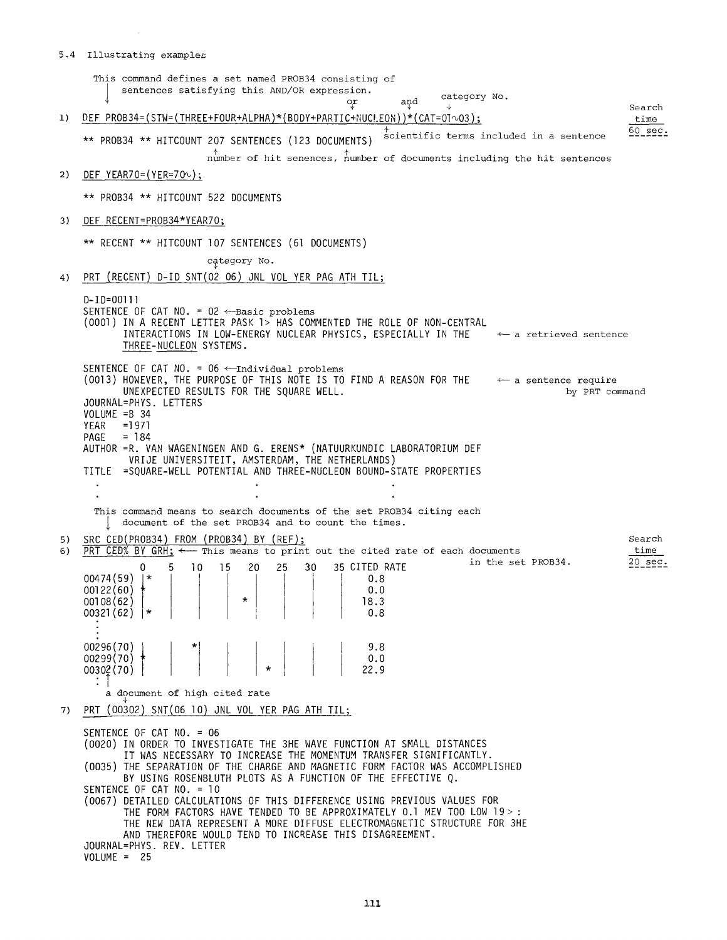# $\sim$   $\sim$ 5.4 Illustrating examples

|    | This command defines a set named PROB34 consisting of<br>sentences satisfying this AND/OR expression.<br>category No.<br>and                                                                                                                                                                                                                                       |  |
|----|--------------------------------------------------------------------------------------------------------------------------------------------------------------------------------------------------------------------------------------------------------------------------------------------------------------------------------------------------------------------|--|
| 1) | Search<br>DEF PROB34=(STW=(THREE+FOUR+ALPHA)*(BODY+PARTIC+NUCLEON))*(CAT=01 $\sim$ 03);<br>time                                                                                                                                                                                                                                                                    |  |
|    | $60 \text{ sec.}$<br>scientific terms included in a sentence<br>** PROB34 ** HITCOUNT 207 SENTENCES (123 DOCUMENTS)<br>$n$ umber of hit senences, number of documents including the hit sentences                                                                                                                                                                  |  |
| 2) | DEF YEAR70= $(YER=70)$ ;                                                                                                                                                                                                                                                                                                                                           |  |
|    | ** PROB34 ** HITCOUNT 522 DOCUMENTS                                                                                                                                                                                                                                                                                                                                |  |
| 3) | DEF RECENT=PROB34*YEAR70;                                                                                                                                                                                                                                                                                                                                          |  |
|    | ** RECENT ** HITCOUNT 107 SENTENCES (61 DOCUMENTS)                                                                                                                                                                                                                                                                                                                 |  |
|    | category No.                                                                                                                                                                                                                                                                                                                                                       |  |
| 4) | PRT (RECENT) D-ID SNT(02 O6) JNL VOL YER PAG ATH TIL;                                                                                                                                                                                                                                                                                                              |  |
|    | D-ID=00111<br>SENTENCE OF CAT NO. = 02 <-- Basic problems<br>(0001) IN A RECENT LETTER PASK 1> HAS COMMENTED THE ROLE OF NON-CENTRAL<br>INTERACTIONS IN LOW-ENERGY NUCLEAR PHYSICS, ESPECIALLY IN THE<br>$\leftarrow$ a retrieved sentence<br>THREE-NUCLEON SYSTEMS.                                                                                               |  |
|    | SENTENCE OF CAT NO. = $06 \leftarrow$ Individual problems<br>(0013) HOWEVER, THE PURPOSE OF THIS NOTE IS TO FIND A REASON FOR THE $\leftarrow$ a sentence require<br>UNEXPECTED RESULTS FOR THE SQUARE WELL.<br>by PRT command<br>JOURNAL=PHYS. LETTERS<br>$VOLUME = B 34$<br>$=1971$<br>YEAR<br>PAGE = $184$                                                      |  |
|    | AUTHOR = R. VAN WAGENINGEN AND G. ERENS* (NATUURKUNDIC LABORATORIUM DEF<br>VRIJE UNIVERSITEIT, AMSTERDAM, THE NETHERLANDS)<br>TITLE =SQUARE-WELL POTENTIAL AND THREE-NUCLEON BOUND-STATE PROPERTIES                                                                                                                                                                |  |
|    |                                                                                                                                                                                                                                                                                                                                                                    |  |
|    | This command means to search documents of the set PROB34 citing each<br>document of the set PROB34 and to count the times.                                                                                                                                                                                                                                         |  |
| 5) | SRC CED(PROB34) FROM (PROB34) BY (REF);<br>Search                                                                                                                                                                                                                                                                                                                  |  |
| 6) | PRT CED% BY GRH; $\leftarrow$ This means to print out the cited rate of each documents<br>time<br>in the set PROB34.<br>$20 \text{ sec.}$<br><b>15</b><br>25<br>30 <sub>o</sub><br>35 CITED RATE<br>0<br>5<br>10<br>20<br>00474(59)<br>$\star$<br>0.8<br>00122(60)<br>0.0<br>00108(62)<br>18.3<br>$00321(62)$  *<br>0.8                                            |  |
|    | 00296(70)<br>9.8<br>0.0<br>$00299(70)$ *<br>22.9<br>00302 (70)                                                                                                                                                                                                                                                                                                     |  |
|    | a document of high cited rate                                                                                                                                                                                                                                                                                                                                      |  |
| 7) | PRT (00302) $SNT(06 10)$ JNL VOL YER PAG ATH TIL;<br>SENTENCE OF CAT NO. = 06                                                                                                                                                                                                                                                                                      |  |
|    | (0020) IN ORDER TO INVESTIGATE THE 3HE WAVE FUNCTION AT SMALL DISTANCES<br>IT WAS NECESSARY TO INCREASE THE MOMENTUM TRANSFER SIGNIFICANTLY.<br>(0035) THE SEPARATION OF THE CHARGE AND MAGNETIC FORM FACTOR WAS ACCOMPLISHED<br>BY USING ROSENBLUTH PLOTS AS A FUNCTION OF THE EFFECTIVE Q.                                                                       |  |
|    | SENTENCE OF CAT NO. = 10<br>(0067) DETAILED CALCULATIONS OF THIS DIFFERENCE USING PREVIOUS VALUES FOR<br>THE FORM FACTORS HAVE TENDED TO BE APPROXIMATELY 0.1 MEV TOO LOW 19>:<br>THE NEW DATA REPRESENT A MORE DIFFUSE ELECTROMAGNETIC STRUCTURE FOR 3HE<br>AND THEREFORE WOULD TEND TO INCREASE THIS DISAGREEMENT.<br>JOURNAL=PHYS. REV. LETTER<br>$VOLUME = 25$ |  |